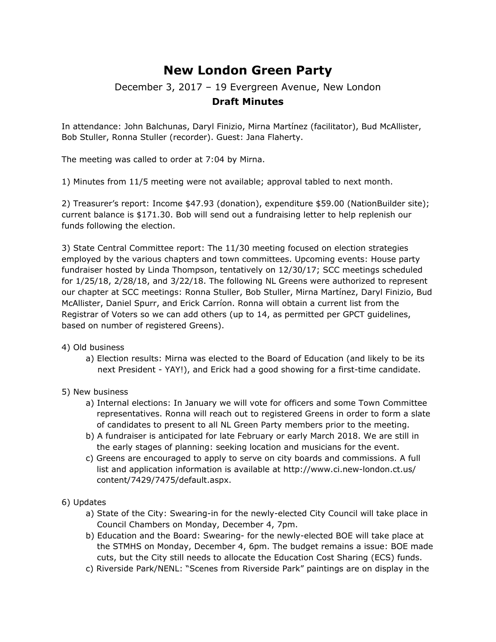## **New London Green Party**

## December 3, 2017 – 19 Evergreen Avenue, New London

## **Draft Minutes**

In attendance: John Balchunas, Daryl Finizio, Mirna Martínez (facilitator), Bud McAllister, Bob Stuller, Ronna Stuller (recorder). Guest: Jana Flaherty.

The meeting was called to order at 7:04 by Mirna.

1) Minutes from 11/5 meeting were not available; approval tabled to next month.

2) Treasurer's report: Income \$47.93 (donation), expenditure \$59.00 (NationBuilder site); current balance is \$171.30. Bob will send out a fundraising letter to help replenish our funds following the election.

3) State Central Committee report: The 11/30 meeting focused on election strategies employed by the various chapters and town committees. Upcoming events: House party fundraiser hosted by Linda Thompson, tentatively on 12/30/17; SCC meetings scheduled for 1/25/18, 2/28/18, and 3/22/18. The following NL Greens were authorized to represent our chapter at SCC meetings: Ronna Stuller, Bob Stuller, Mirna Martínez, Daryl Finizio, Bud McAllister, Daniel Spurr, and Erick Carríon. Ronna will obtain a current list from the Registrar of Voters so we can add others (up to 14, as permitted per GPCT guidelines, based on number of registered Greens).

4) Old business

- a) Election results: Mirna was elected to the Board of Education (and likely to be its next President - YAY!), and Erick had a good showing for a first-time candidate.
- 5) New business
	- a) Internal elections: In January we will vote for officers and some Town Committee representatives. Ronna will reach out to registered Greens in order to form a slate of candidates to present to all NL Green Party members prior to the meeting.
	- b) A fundraiser is anticipated for late February or early March 2018. We are still in the early stages of planning: seeking location and musicians for the event.
	- c) Greens are encouraged to apply to serve on city boards and commissions. A full list and application information is available at [http://www.ci.new-london.ct.us/](http://www.ci.new-london.ct.us/content/7429/7475/default.aspx) [content/7429/7475/default.aspx](http://www.ci.new-london.ct.us/content/7429/7475/default.aspx).
- 6) Updates
	- a) State of the City: Swearing-in for the newly-elected City Council will take place in Council Chambers on Monday, December 4, 7pm.
	- b) Education and the Board: Swearing- for the newly-elected BOE will take place at the STMHS on Monday, December 4, 6pm. The budget remains a issue: BOE made cuts, but the City still needs to allocate the Education Cost Sharing (ECS) funds.
	- c) Riverside Park/NENL: "Scenes from Riverside Park" paintings are on display in the